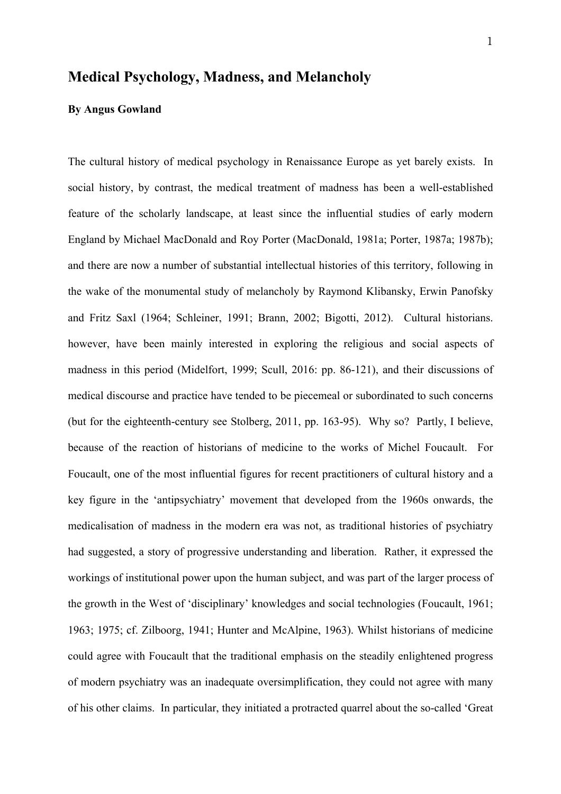# **Medical Psychology, Madness, and Melancholy**

# **By Angus Gowland**

The cultural history of medical psychology in Renaissance Europe as yet barely exists. In social history, by contrast, the medical treatment of madness has been a well-established feature of the scholarly landscape, at least since the influential studies of early modern England by Michael MacDonald and Roy Porter (MacDonald, 1981a; Porter, 1987a; 1987b); and there are now a number of substantial intellectual histories of this territory, following in the wake of the monumental study of melancholy by Raymond Klibansky, Erwin Panofsky and Fritz Saxl (1964; Schleiner, 1991; Brann, 2002; Bigotti, 2012). Cultural historians. however, have been mainly interested in exploring the religious and social aspects of madness in this period (Midelfort, 1999; Scull, 2016: pp. 86-121), and their discussions of medical discourse and practice have tended to be piecemeal or subordinated to such concerns (but for the eighteenth-century see Stolberg, 2011, pp. 163-95). Why so? Partly, I believe, because of the reaction of historians of medicine to the works of Michel Foucault. For Foucault, one of the most influential figures for recent practitioners of cultural history and a key figure in the 'antipsychiatry' movement that developed from the 1960s onwards, the medicalisation of madness in the modern era was not, as traditional histories of psychiatry had suggested, a story of progressive understanding and liberation. Rather, it expressed the workings of institutional power upon the human subject, and was part of the larger process of the growth in the West of 'disciplinary' knowledges and social technologies (Foucault, 1961; 1963; 1975; cf. Zilboorg, 1941; Hunter and McAlpine, 1963). Whilst historians of medicine could agree with Foucault that the traditional emphasis on the steadily enlightened progress of modern psychiatry was an inadequate oversimplification, they could not agree with many of his other claims. In particular, they initiated a protracted quarrel about the so-called 'Great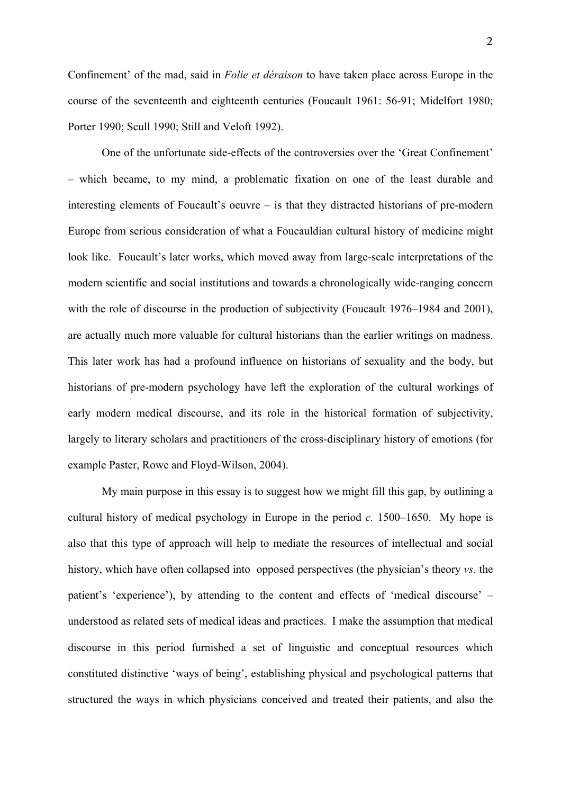2

Confinement' of the mad, said in *Folie et déraison* to have taken place across Europe in the course of the seventeenth and eighteenth centuries (Foucault 1961: 56-91; Midelfort 1980; Porter 1990; Scull 1990; Still and Veloft 1992).

One of the unfortunate side-effects of the controversies over the 'Great Confinement' – which became, to my mind, a problematic fixation on one of the least durable and interesting elements of Foucault's oeuvre – is that they distracted historians of pre-modern Europe from serious consideration of what a Foucauldian cultural history of medicine might look like. Foucault's later works, which moved away from large-scale interpretations of the modern scientific and social institutions and towards a chronologically wide-ranging concern with the role of discourse in the production of subjectivity (Foucault 1976–1984 and 2001), are actually much more valuable for cultural historians than the earlier writings on madness. This later work has had a profound influence on historians of sexuality and the body, but historians of pre-modern psychology have left the exploration of the cultural workings of early modern medical discourse, and its role in the historical formation of subjectivity, largely to literary scholars and practitioners of the cross-disciplinary history of emotions (for example Paster, Rowe and Floyd-Wilson, 2004).

My main purpose in this essay is to suggest how we might fill this gap, by outlining a cultural history of medical psychology in Europe in the period *c.* 1500–1650. My hope is also that this type of approach will help to mediate the resources of intellectual and social history, which have often collapsed into opposed perspectives (the physician's theory *vs.* the patient's 'experience'), by attending to the content and effects of 'medical discourse' – understood as related sets of medical ideas and practices. I make the assumption that medical discourse in this period furnished a set of linguistic and conceptual resources which constituted distinctive 'ways of being', establishing physical and psychological patterns that structured the ways in which physicians conceived and treated their patients, and also the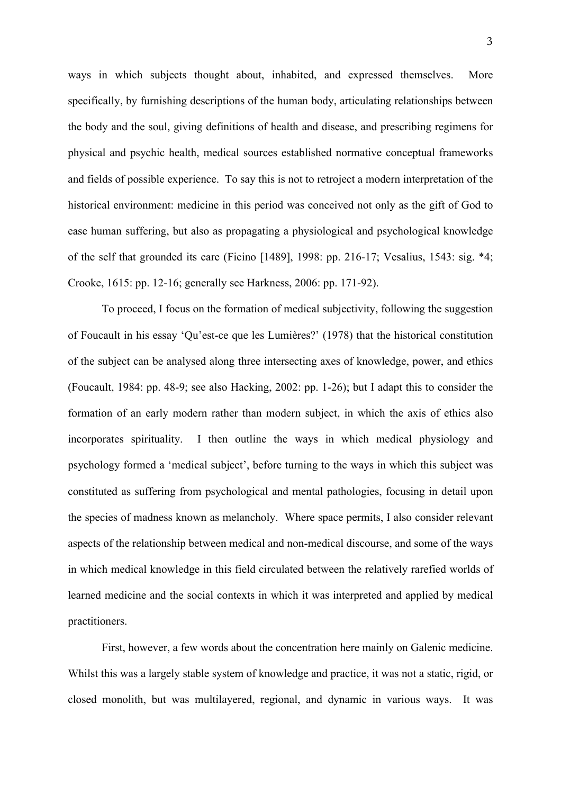ways in which subjects thought about, inhabited, and expressed themselves. More specifically, by furnishing descriptions of the human body, articulating relationships between the body and the soul, giving definitions of health and disease, and prescribing regimens for physical and psychic health, medical sources established normative conceptual frameworks and fields of possible experience. To say this is not to retroject a modern interpretation of the historical environment: medicine in this period was conceived not only as the gift of God to ease human suffering, but also as propagating a physiological and psychological knowledge of the self that grounded its care (Ficino [1489], 1998: pp. 216-17; Vesalius, 1543: sig. \*4; Crooke, 1615: pp. 12-16; generally see Harkness, 2006: pp. 171-92).

To proceed, I focus on the formation of medical subjectivity, following the suggestion of Foucault in his essay 'Qu'est-ce que les Lumières?' (1978) that the historical constitution of the subject can be analysed along three intersecting axes of knowledge, power, and ethics (Foucault, 1984: pp. 48-9; see also Hacking, 2002: pp. 1-26); but I adapt this to consider the formation of an early modern rather than modern subject, in which the axis of ethics also incorporates spirituality. I then outline the ways in which medical physiology and psychology formed a 'medical subject', before turning to the ways in which this subject was constituted as suffering from psychological and mental pathologies, focusing in detail upon the species of madness known as melancholy. Where space permits, I also consider relevant aspects of the relationship between medical and non-medical discourse, and some of the ways in which medical knowledge in this field circulated between the relatively rarefied worlds of learned medicine and the social contexts in which it was interpreted and applied by medical practitioners.

First, however, a few words about the concentration here mainly on Galenic medicine. Whilst this was a largely stable system of knowledge and practice, it was not a static, rigid, or closed monolith, but was multilayered, regional, and dynamic in various ways. It was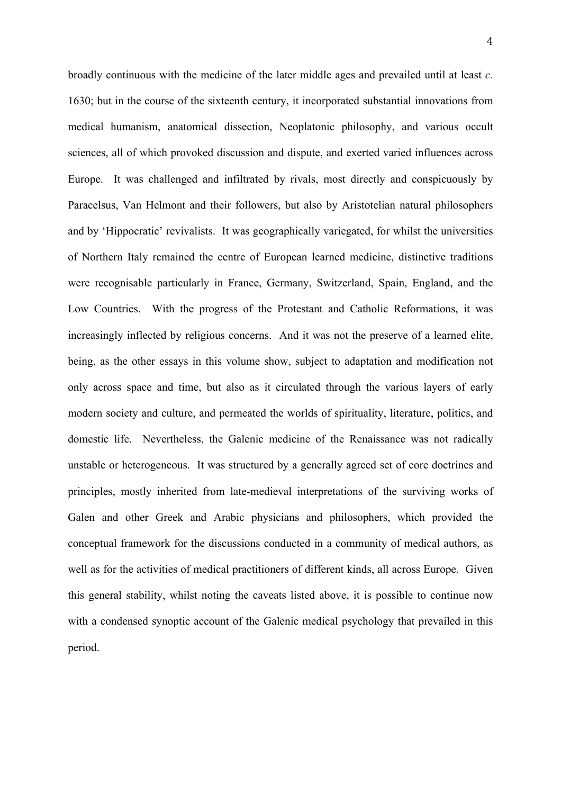broadly continuous with the medicine of the later middle ages and prevailed until at least *c.* 1630; but in the course of the sixteenth century, it incorporated substantial innovations from medical humanism, anatomical dissection, Neoplatonic philosophy, and various occult sciences, all of which provoked discussion and dispute, and exerted varied influences across Europe. It was challenged and infiltrated by rivals, most directly and conspicuously by Paracelsus, Van Helmont and their followers, but also by Aristotelian natural philosophers and by 'Hippocratic' revivalists. It was geographically variegated, for whilst the universities of Northern Italy remained the centre of European learned medicine, distinctive traditions were recognisable particularly in France, Germany, Switzerland, Spain, England, and the Low Countries. With the progress of the Protestant and Catholic Reformations, it was increasingly inflected by religious concerns. And it was not the preserve of a learned elite, being, as the other essays in this volume show, subject to adaptation and modification not only across space and time, but also as it circulated through the various layers of early modern society and culture, and permeated the worlds of spirituality, literature, politics, and domestic life. Nevertheless, the Galenic medicine of the Renaissance was not radically unstable or heterogeneous. It was structured by a generally agreed set of core doctrines and principles, mostly inherited from late-medieval interpretations of the surviving works of Galen and other Greek and Arabic physicians and philosophers, which provided the conceptual framework for the discussions conducted in a community of medical authors, as well as for the activities of medical practitioners of different kinds, all across Europe. Given this general stability, whilst noting the caveats listed above, it is possible to continue now with a condensed synoptic account of the Galenic medical psychology that prevailed in this period.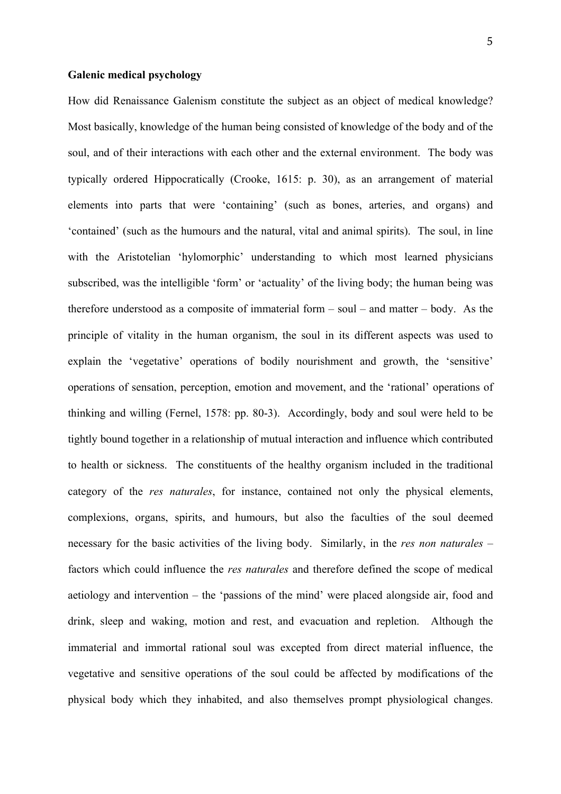# **Galenic medical psychology**

How did Renaissance Galenism constitute the subject as an object of medical knowledge? Most basically, knowledge of the human being consisted of knowledge of the body and of the soul, and of their interactions with each other and the external environment. The body was typically ordered Hippocratically (Crooke, 1615: p. 30), as an arrangement of material elements into parts that were 'containing' (such as bones, arteries, and organs) and 'contained' (such as the humours and the natural, vital and animal spirits). The soul, in line with the Aristotelian 'hylomorphic' understanding to which most learned physicians subscribed, was the intelligible 'form' or 'actuality' of the living body; the human being was therefore understood as a composite of immaterial form  $-$  soul  $-$  and matter  $-$  body. As the principle of vitality in the human organism, the soul in its different aspects was used to explain the 'vegetative' operations of bodily nourishment and growth, the 'sensitive' operations of sensation, perception, emotion and movement, and the 'rational' operations of thinking and willing (Fernel, 1578: pp. 80-3). Accordingly, body and soul were held to be tightly bound together in a relationship of mutual interaction and influence which contributed to health or sickness. The constituents of the healthy organism included in the traditional category of the *res naturales*, for instance, contained not only the physical elements, complexions, organs, spirits, and humours, but also the faculties of the soul deemed necessary for the basic activities of the living body. Similarly, in the *res non naturales* – factors which could influence the *res naturales* and therefore defined the scope of medical aetiology and intervention – the 'passions of the mind' were placed alongside air, food and drink, sleep and waking, motion and rest, and evacuation and repletion. Although the immaterial and immortal rational soul was excepted from direct material influence, the vegetative and sensitive operations of the soul could be affected by modifications of the physical body which they inhabited, and also themselves prompt physiological changes.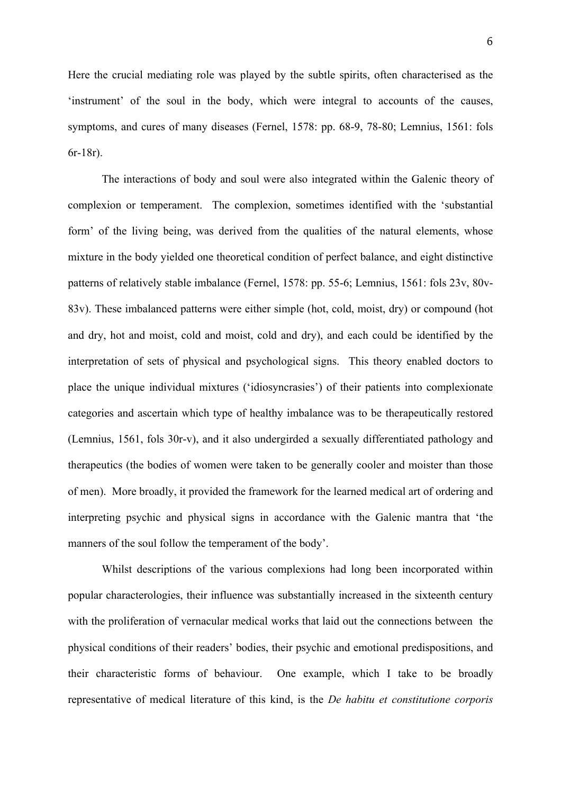Here the crucial mediating role was played by the subtle spirits, often characterised as the 'instrument' of the soul in the body, which were integral to accounts of the causes, symptoms, and cures of many diseases (Fernel, 1578: pp. 68-9, 78-80; Lemnius, 1561: fols 6r-18r).

The interactions of body and soul were also integrated within the Galenic theory of complexion or temperament. The complexion, sometimes identified with the 'substantial form' of the living being, was derived from the qualities of the natural elements, whose mixture in the body yielded one theoretical condition of perfect balance, and eight distinctive patterns of relatively stable imbalance (Fernel, 1578: pp. 55-6; Lemnius, 1561: fols 23v, 80v-83v). These imbalanced patterns were either simple (hot, cold, moist, dry) or compound (hot and dry, hot and moist, cold and moist, cold and dry), and each could be identified by the interpretation of sets of physical and psychological signs. This theory enabled doctors to place the unique individual mixtures ('idiosyncrasies') of their patients into complexionate categories and ascertain which type of healthy imbalance was to be therapeutically restored (Lemnius, 1561, fols 30r-v), and it also undergirded a sexually differentiated pathology and therapeutics (the bodies of women were taken to be generally cooler and moister than those of men). More broadly, it provided the framework for the learned medical art of ordering and interpreting psychic and physical signs in accordance with the Galenic mantra that 'the manners of the soul follow the temperament of the body'.

Whilst descriptions of the various complexions had long been incorporated within popular characterologies, their influence was substantially increased in the sixteenth century with the proliferation of vernacular medical works that laid out the connections between the physical conditions of their readers' bodies, their psychic and emotional predispositions, and their characteristic forms of behaviour. One example, which I take to be broadly representative of medical literature of this kind, is the *De habitu et constitutione corporis*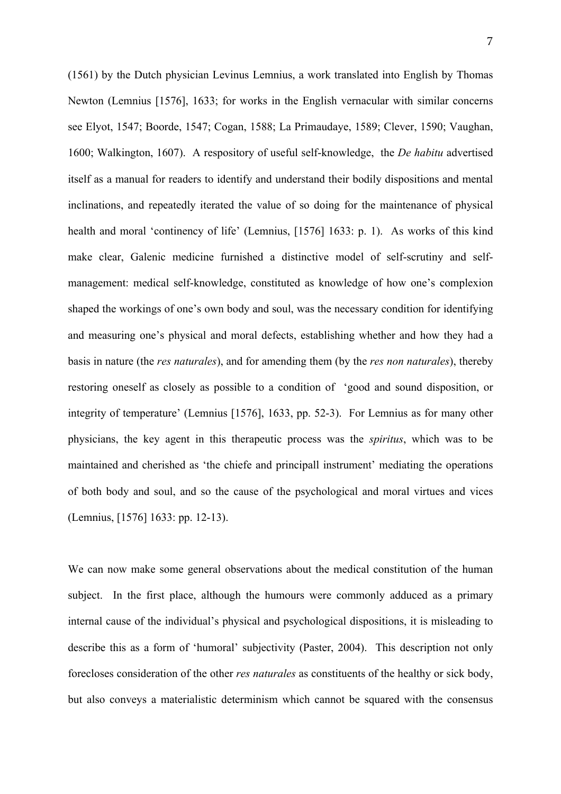(1561) by the Dutch physician Levinus Lemnius, a work translated into English by Thomas Newton (Lemnius [1576], 1633; for works in the English vernacular with similar concerns see Elyot, 1547; Boorde, 1547; Cogan, 1588; La Primaudaye, 1589; Clever, 1590; Vaughan, 1600; Walkington, 1607). A respository of useful self-knowledge, the *De habitu* advertised itself as a manual for readers to identify and understand their bodily dispositions and mental inclinations, and repeatedly iterated the value of so doing for the maintenance of physical health and moral 'continency of life' (Lemnius, [1576] 1633: p. 1). As works of this kind make clear, Galenic medicine furnished a distinctive model of self-scrutiny and selfmanagement: medical self-knowledge, constituted as knowledge of how one's complexion shaped the workings of one's own body and soul, was the necessary condition for identifying and measuring one's physical and moral defects, establishing whether and how they had a basis in nature (the *res naturales*), and for amending them (by the *res non naturales*), thereby restoring oneself as closely as possible to a condition of 'good and sound disposition, or integrity of temperature' (Lemnius [1576], 1633, pp. 52-3). For Lemnius as for many other physicians, the key agent in this therapeutic process was the *spiritus*, which was to be maintained and cherished as 'the chiefe and principall instrument' mediating the operations of both body and soul, and so the cause of the psychological and moral virtues and vices (Lemnius, [1576] 1633: pp. 12-13).

We can now make some general observations about the medical constitution of the human subject. In the first place, although the humours were commonly adduced as a primary internal cause of the individual's physical and psychological dispositions, it is misleading to describe this as a form of 'humoral' subjectivity (Paster, 2004). This description not only forecloses consideration of the other *res naturales* as constituents of the healthy or sick body, but also conveys a materialistic determinism which cannot be squared with the consensus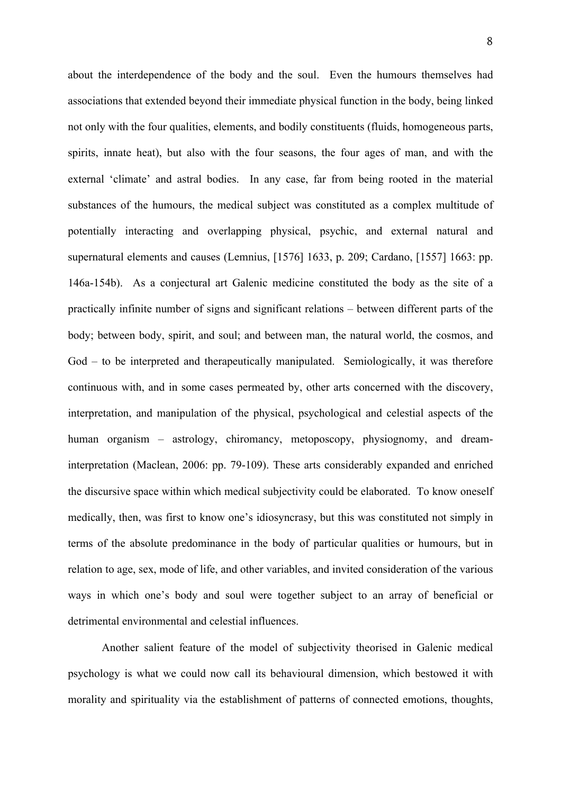about the interdependence of the body and the soul. Even the humours themselves had associations that extended beyond their immediate physical function in the body, being linked not only with the four qualities, elements, and bodily constituents (fluids, homogeneous parts, spirits, innate heat), but also with the four seasons, the four ages of man, and with the external 'climate' and astral bodies. In any case, far from being rooted in the material substances of the humours, the medical subject was constituted as a complex multitude of potentially interacting and overlapping physical, psychic, and external natural and supernatural elements and causes (Lemnius, [1576] 1633, p. 209; Cardano, [1557] 1663: pp. 146a-154b). As a conjectural art Galenic medicine constituted the body as the site of a practically infinite number of signs and significant relations – between different parts of the body; between body, spirit, and soul; and between man, the natural world, the cosmos, and God – to be interpreted and therapeutically manipulated. Semiologically, it was therefore continuous with, and in some cases permeated by, other arts concerned with the discovery, interpretation, and manipulation of the physical, psychological and celestial aspects of the human organism – astrology, chiromancy, metoposcopy, physiognomy, and dreaminterpretation (Maclean, 2006: pp. 79-109). These arts considerably expanded and enriched the discursive space within which medical subjectivity could be elaborated. To know oneself medically, then, was first to know one's idiosyncrasy, but this was constituted not simply in terms of the absolute predominance in the body of particular qualities or humours, but in relation to age, sex, mode of life, and other variables, and invited consideration of the various ways in which one's body and soul were together subject to an array of beneficial or detrimental environmental and celestial influences.

Another salient feature of the model of subjectivity theorised in Galenic medical psychology is what we could now call its behavioural dimension, which bestowed it with morality and spirituality via the establishment of patterns of connected emotions, thoughts,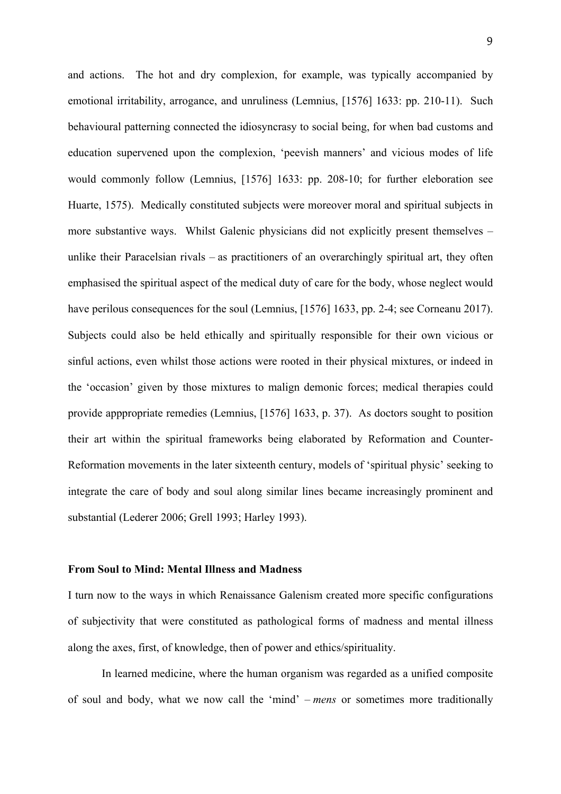and actions. The hot and dry complexion, for example, was typically accompanied by emotional irritability, arrogance, and unruliness (Lemnius, [1576] 1633: pp. 210-11). Such behavioural patterning connected the idiosyncrasy to social being, for when bad customs and education supervened upon the complexion, 'peevish manners' and vicious modes of life would commonly follow (Lemnius, [1576] 1633: pp. 208-10; for further eleboration see Huarte, 1575). Medically constituted subjects were moreover moral and spiritual subjects in more substantive ways. Whilst Galenic physicians did not explicitly present themselves – unlike their Paracelsian rivals – as practitioners of an overarchingly spiritual art, they often emphasised the spiritual aspect of the medical duty of care for the body, whose neglect would have perilous consequences for the soul (Lemnius, [1576] 1633, pp. 2-4; see Corneanu 2017). Subjects could also be held ethically and spiritually responsible for their own vicious or sinful actions, even whilst those actions were rooted in their physical mixtures, or indeed in the 'occasion' given by those mixtures to malign demonic forces; medical therapies could provide apppropriate remedies (Lemnius, [1576] 1633, p. 37). As doctors sought to position their art within the spiritual frameworks being elaborated by Reformation and Counter-Reformation movements in the later sixteenth century, models of 'spiritual physic' seeking to integrate the care of body and soul along similar lines became increasingly prominent and substantial (Lederer 2006; Grell 1993; Harley 1993).

#### **From Soul to Mind: Mental Illness and Madness**

I turn now to the ways in which Renaissance Galenism created more specific configurations of subjectivity that were constituted as pathological forms of madness and mental illness along the axes, first, of knowledge, then of power and ethics/spirituality.

In learned medicine, where the human organism was regarded as a unified composite of soul and body, what we now call the 'mind' – *mens* or sometimes more traditionally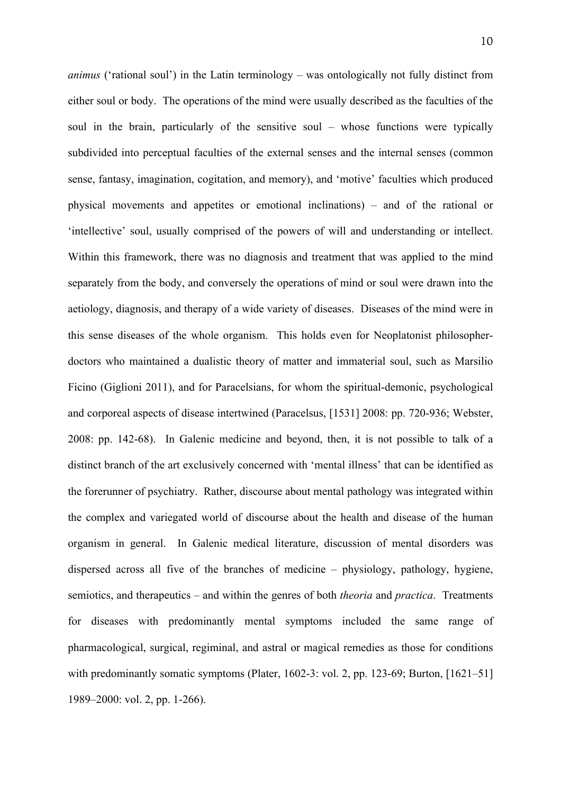*animus* ('rational soul') in the Latin terminology – was ontologically not fully distinct from either soul or body. The operations of the mind were usually described as the faculties of the soul in the brain, particularly of the sensitive soul – whose functions were typically subdivided into perceptual faculties of the external senses and the internal senses (common sense, fantasy, imagination, cogitation, and memory), and 'motive' faculties which produced physical movements and appetites or emotional inclinations) – and of the rational or 'intellective' soul, usually comprised of the powers of will and understanding or intellect. Within this framework, there was no diagnosis and treatment that was applied to the mind separately from the body, and conversely the operations of mind or soul were drawn into the aetiology, diagnosis, and therapy of a wide variety of diseases. Diseases of the mind were in this sense diseases of the whole organism. This holds even for Neoplatonist philosopherdoctors who maintained a dualistic theory of matter and immaterial soul, such as Marsilio Ficino (Giglioni 2011), and for Paracelsians, for whom the spiritual-demonic, psychological and corporeal aspects of disease intertwined (Paracelsus, [1531] 2008: pp. 720-936; Webster, 2008: pp. 142-68). In Galenic medicine and beyond, then, it is not possible to talk of a distinct branch of the art exclusively concerned with 'mental illness' that can be identified as the forerunner of psychiatry. Rather, discourse about mental pathology was integrated within the complex and variegated world of discourse about the health and disease of the human organism in general. In Galenic medical literature, discussion of mental disorders was dispersed across all five of the branches of medicine – physiology, pathology, hygiene, semiotics, and therapeutics – and within the genres of both *theoria* and *practica*. Treatments for diseases with predominantly mental symptoms included the same range of pharmacological, surgical, regiminal, and astral or magical remedies as those for conditions with predominantly somatic symptoms (Plater, 1602-3: vol. 2, pp. 123-69; Burton, [1621–51] 1989–2000: vol. 2, pp. 1-266).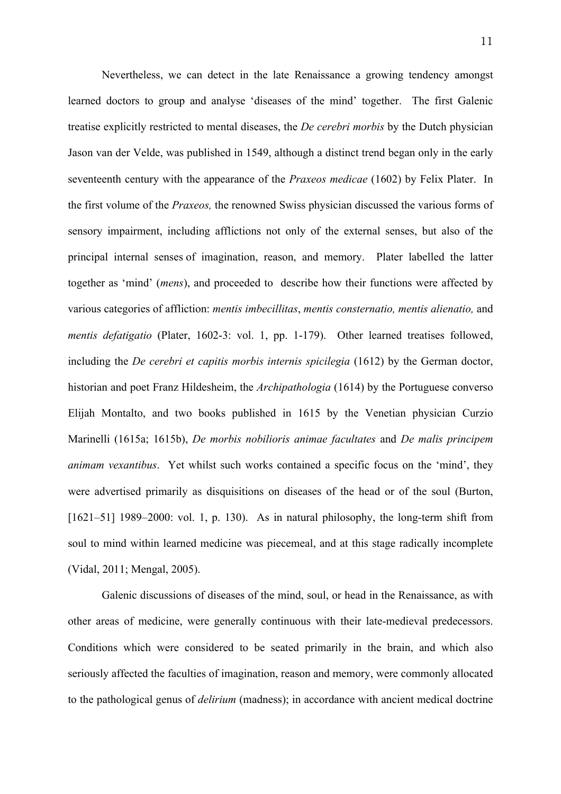Nevertheless, we can detect in the late Renaissance a growing tendency amongst learned doctors to group and analyse 'diseases of the mind' together. The first Galenic treatise explicitly restricted to mental diseases, the *De cerebri morbis* by the Dutch physician Jason van der Velde, was published in 1549, although a distinct trend began only in the early seventeenth century with the appearance of the *Praxeos medicae* (1602) by Felix Plater. In the first volume of the *Praxeos,* the renowned Swiss physician discussed the various forms of sensory impairment, including afflictions not only of the external senses, but also of the principal internal senses of imagination, reason, and memory. Plater labelled the latter together as 'mind' (*mens*), and proceeded to describe how their functions were affected by various categories of affliction: *mentis imbecillitas*, *mentis consternatio, mentis alienatio,* and *mentis defatigatio* (Plater, 1602-3: vol. 1, pp. 1-179). Other learned treatises followed, including the *De cerebri et capitis morbis internis spicilegia* (1612) by the German doctor, historian and poet Franz Hildesheim, the *Archipathologia* (1614) by the Portuguese converso Elijah Montalto, and two books published in 1615 by the Venetian physician Curzio Marinelli (1615a; 1615b), *De morbis nobilioris animae facultates* and *De malis principem animam vexantibus*. Yet whilst such works contained a specific focus on the 'mind', they were advertised primarily as disquisitions on diseases of the head or of the soul (Burton, [1621–51] 1989–2000: vol. 1, p. 130). As in natural philosophy, the long-term shift from soul to mind within learned medicine was piecemeal, and at this stage radically incomplete (Vidal, 2011; Mengal, 2005).

Galenic discussions of diseases of the mind, soul, or head in the Renaissance, as with other areas of medicine, were generally continuous with their late-medieval predecessors. Conditions which were considered to be seated primarily in the brain, and which also seriously affected the faculties of imagination, reason and memory, were commonly allocated to the pathological genus of *delirium* (madness); in accordance with ancient medical doctrine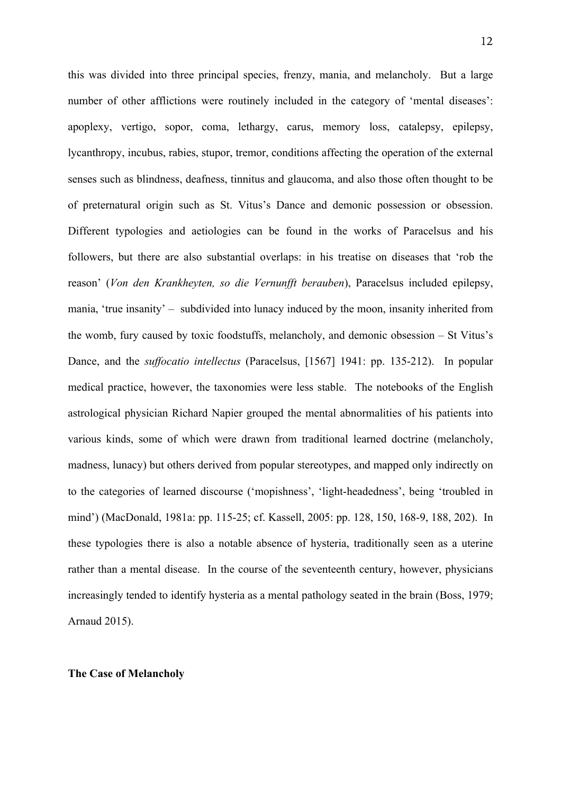this was divided into three principal species, frenzy, mania, and melancholy. But a large number of other afflictions were routinely included in the category of 'mental diseases': apoplexy, vertigo, sopor, coma, lethargy, carus, memory loss, catalepsy, epilepsy, lycanthropy, incubus, rabies, stupor, tremor, conditions affecting the operation of the external senses such as blindness, deafness, tinnitus and glaucoma, and also those often thought to be of preternatural origin such as St. Vitus's Dance and demonic possession or obsession. Different typologies and aetiologies can be found in the works of Paracelsus and his followers, but there are also substantial overlaps: in his treatise on diseases that 'rob the reason' (*Von den Krankheyten, so die Vernunfft berauben*), Paracelsus included epilepsy, mania, 'true insanity' – subdivided into lunacy induced by the moon, insanity inherited from the womb, fury caused by toxic foodstuffs, melancholy, and demonic obsession – St Vitus's Dance, and the *suffocatio intellectus* (Paracelsus, [1567] 1941: pp. 135-212). In popular medical practice, however, the taxonomies were less stable. The notebooks of the English astrological physician Richard Napier grouped the mental abnormalities of his patients into various kinds, some of which were drawn from traditional learned doctrine (melancholy, madness, lunacy) but others derived from popular stereotypes, and mapped only indirectly on to the categories of learned discourse ('mopishness', 'light-headedness', being 'troubled in mind') (MacDonald, 1981a: pp. 115-25; cf. Kassell, 2005: pp. 128, 150, 168-9, 188, 202). In these typologies there is also a notable absence of hysteria, traditionally seen as a uterine rather than a mental disease. In the course of the seventeenth century, however, physicians increasingly tended to identify hysteria as a mental pathology seated in the brain (Boss, 1979; Arnaud 2015).

#### **The Case of Melancholy**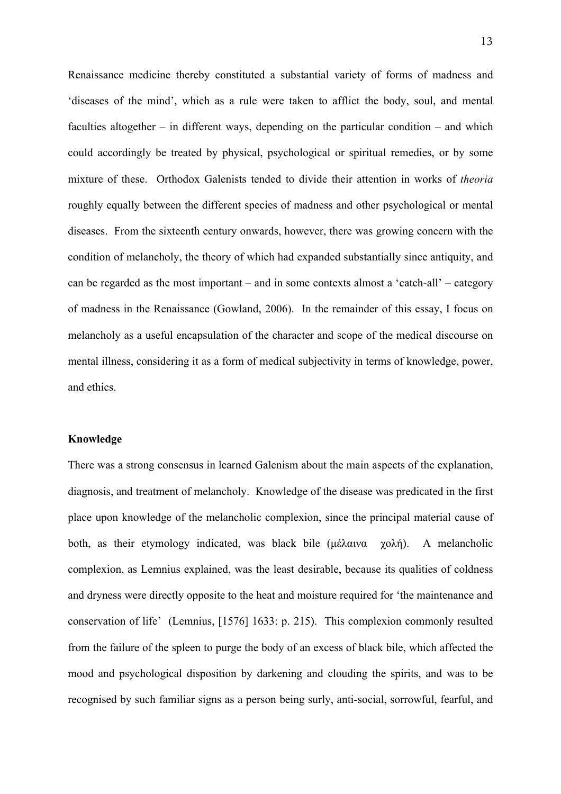Renaissance medicine thereby constituted a substantial variety of forms of madness and 'diseases of the mind', which as a rule were taken to afflict the body, soul, and mental faculties altogether – in different ways, depending on the particular condition – and which could accordingly be treated by physical, psychological or spiritual remedies, or by some mixture of these. Orthodox Galenists tended to divide their attention in works of *theoria* roughly equally between the different species of madness and other psychological or mental diseases. From the sixteenth century onwards, however, there was growing concern with the condition of melancholy, the theory of which had expanded substantially since antiquity, and can be regarded as the most important – and in some contexts almost a 'catch-all' – category of madness in the Renaissance (Gowland, 2006). In the remainder of this essay, I focus on melancholy as a useful encapsulation of the character and scope of the medical discourse on mental illness, considering it as a form of medical subjectivity in terms of knowledge, power, and ethics.

# **Knowledge**

There was a strong consensus in learned Galenism about the main aspects of the explanation, diagnosis, and treatment of melancholy. Knowledge of the disease was predicated in the first place upon knowledge of the melancholic complexion, since the principal material cause of both, as their etymology indicated, was black bile (μέλαινα χολή). A melancholic complexion, as Lemnius explained, was the least desirable, because its qualities of coldness and dryness were directly opposite to the heat and moisture required for 'the maintenance and conservation of life' (Lemnius, [1576] 1633: p. 215). This complexion commonly resulted from the failure of the spleen to purge the body of an excess of black bile, which affected the mood and psychological disposition by darkening and clouding the spirits, and was to be recognised by such familiar signs as a person being surly, anti-social, sorrowful, fearful, and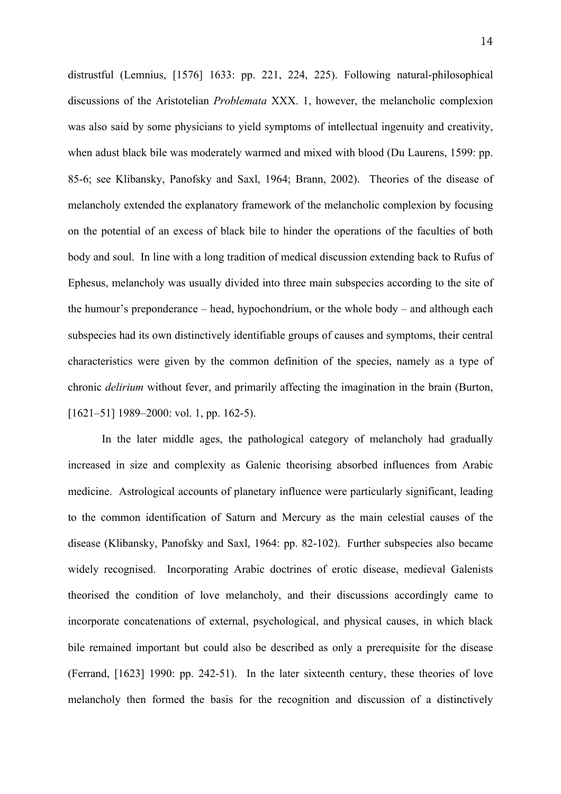distrustful (Lemnius, [1576] 1633: pp. 221, 224, 225). Following natural-philosophical discussions of the Aristotelian *Problemata* XXX. 1, however, the melancholic complexion was also said by some physicians to yield symptoms of intellectual ingenuity and creativity, when adust black bile was moderately warmed and mixed with blood (Du Laurens, 1599: pp. 85-6; see Klibansky, Panofsky and Saxl, 1964; Brann, 2002). Theories of the disease of melancholy extended the explanatory framework of the melancholic complexion by focusing on the potential of an excess of black bile to hinder the operations of the faculties of both body and soul. In line with a long tradition of medical discussion extending back to Rufus of Ephesus, melancholy was usually divided into three main subspecies according to the site of the humour's preponderance – head, hypochondrium, or the whole body – and although each subspecies had its own distinctively identifiable groups of causes and symptoms, their central characteristics were given by the common definition of the species, namely as a type of chronic *delirium* without fever, and primarily affecting the imagination in the brain (Burton, [1621–51] 1989–2000: vol. 1, pp. 162-5).

In the later middle ages, the pathological category of melancholy had gradually increased in size and complexity as Galenic theorising absorbed influences from Arabic medicine. Astrological accounts of planetary influence were particularly significant, leading to the common identification of Saturn and Mercury as the main celestial causes of the disease (Klibansky, Panofsky and Saxl, 1964: pp. 82-102). Further subspecies also became widely recognised. Incorporating Arabic doctrines of erotic disease, medieval Galenists theorised the condition of love melancholy, and their discussions accordingly came to incorporate concatenations of external, psychological, and physical causes, in which black bile remained important but could also be described as only a prerequisite for the disease (Ferrand, [1623] 1990: pp. 242-51). In the later sixteenth century, these theories of love melancholy then formed the basis for the recognition and discussion of a distinctively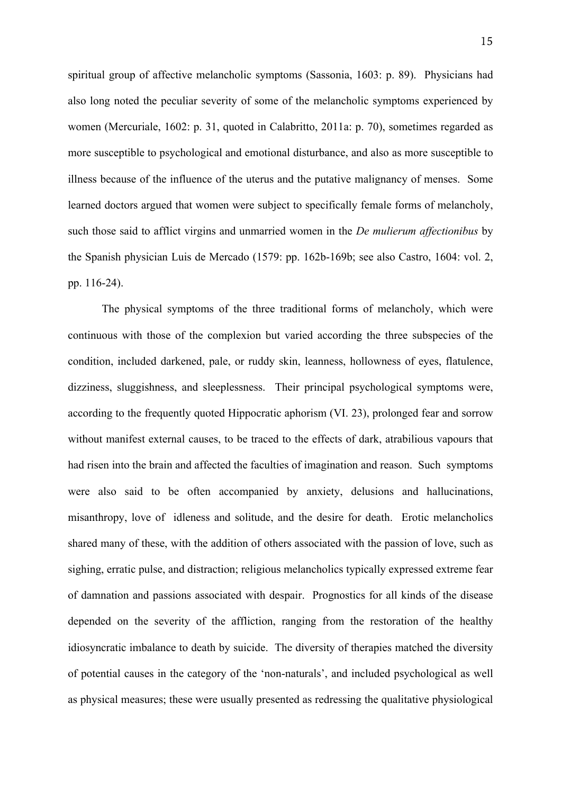spiritual group of affective melancholic symptoms (Sassonia, 1603: p. 89). Physicians had also long noted the peculiar severity of some of the melancholic symptoms experienced by women (Mercuriale, 1602: p. 31, quoted in Calabritto, 2011a: p. 70), sometimes regarded as more susceptible to psychological and emotional disturbance, and also as more susceptible to illness because of the influence of the uterus and the putative malignancy of menses. Some learned doctors argued that women were subject to specifically female forms of melancholy, such those said to afflict virgins and unmarried women in the *De mulierum affectionibus* by the Spanish physician Luis de Mercado (1579: pp. 162b-169b; see also Castro, 1604: vol. 2, pp. 116-24).

The physical symptoms of the three traditional forms of melancholy, which were continuous with those of the complexion but varied according the three subspecies of the condition, included darkened, pale, or ruddy skin, leanness, hollowness of eyes, flatulence, dizziness, sluggishness, and sleeplessness. Their principal psychological symptoms were, according to the frequently quoted Hippocratic aphorism (VI. 23), prolonged fear and sorrow without manifest external causes, to be traced to the effects of dark, atrabilious vapours that had risen into the brain and affected the faculties of imagination and reason. Such symptoms were also said to be often accompanied by anxiety, delusions and hallucinations, misanthropy, love of idleness and solitude, and the desire for death. Erotic melancholics shared many of these, with the addition of others associated with the passion of love, such as sighing, erratic pulse, and distraction; religious melancholics typically expressed extreme fear of damnation and passions associated with despair. Prognostics for all kinds of the disease depended on the severity of the affliction, ranging from the restoration of the healthy idiosyncratic imbalance to death by suicide. The diversity of therapies matched the diversity of potential causes in the category of the 'non-naturals', and included psychological as well as physical measures; these were usually presented as redressing the qualitative physiological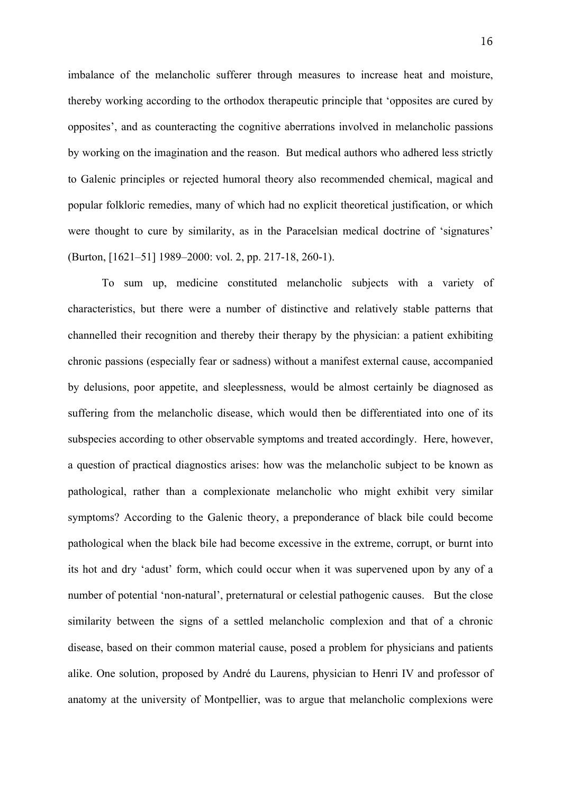imbalance of the melancholic sufferer through measures to increase heat and moisture, thereby working according to the orthodox therapeutic principle that 'opposites are cured by opposites', and as counteracting the cognitive aberrations involved in melancholic passions by working on the imagination and the reason. But medical authors who adhered less strictly to Galenic principles or rejected humoral theory also recommended chemical, magical and popular folkloric remedies, many of which had no explicit theoretical justification, or which were thought to cure by similarity, as in the Paracelsian medical doctrine of 'signatures' (Burton, [1621–51] 1989–2000: vol. 2, pp. 217-18, 260-1).

To sum up, medicine constituted melancholic subjects with a variety of characteristics, but there were a number of distinctive and relatively stable patterns that channelled their recognition and thereby their therapy by the physician: a patient exhibiting chronic passions (especially fear or sadness) without a manifest external cause, accompanied by delusions, poor appetite, and sleeplessness, would be almost certainly be diagnosed as suffering from the melancholic disease, which would then be differentiated into one of its subspecies according to other observable symptoms and treated accordingly. Here, however, a question of practical diagnostics arises: how was the melancholic subject to be known as pathological, rather than a complexionate melancholic who might exhibit very similar symptoms? According to the Galenic theory, a preponderance of black bile could become pathological when the black bile had become excessive in the extreme, corrupt, or burnt into its hot and dry 'adust' form, which could occur when it was supervened upon by any of a number of potential 'non-natural', preternatural or celestial pathogenic causes. But the close similarity between the signs of a settled melancholic complexion and that of a chronic disease, based on their common material cause, posed a problem for physicians and patients alike. One solution, proposed by André du Laurens, physician to Henri IV and professor of anatomy at the university of Montpellier, was to argue that melancholic complexions were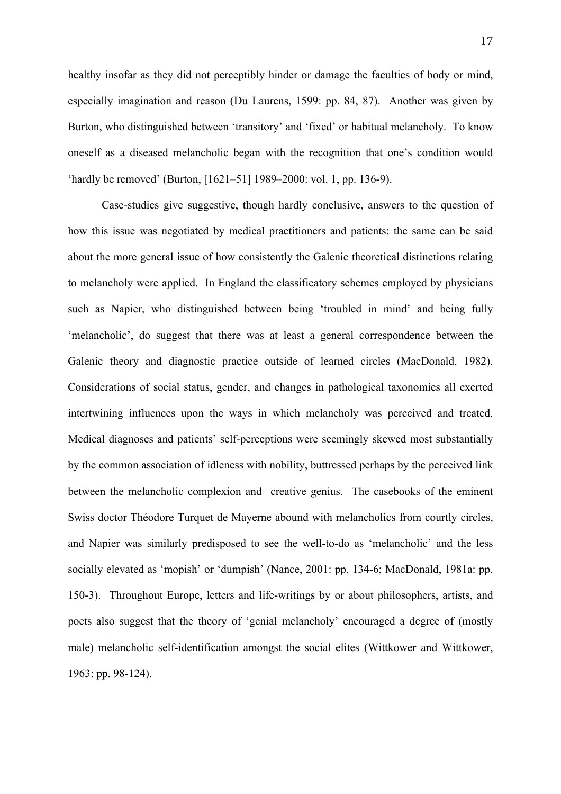healthy insofar as they did not perceptibly hinder or damage the faculties of body or mind, especially imagination and reason (Du Laurens, 1599: pp. 84, 87). Another was given by Burton, who distinguished between 'transitory' and 'fixed' or habitual melancholy. To know oneself as a diseased melancholic began with the recognition that one's condition would 'hardly be removed' (Burton, [1621–51] 1989–2000: vol. 1, pp. 136-9).

Case-studies give suggestive, though hardly conclusive, answers to the question of how this issue was negotiated by medical practitioners and patients; the same can be said about the more general issue of how consistently the Galenic theoretical distinctions relating to melancholy were applied. In England the classificatory schemes employed by physicians such as Napier, who distinguished between being 'troubled in mind' and being fully 'melancholic', do suggest that there was at least a general correspondence between the Galenic theory and diagnostic practice outside of learned circles (MacDonald, 1982). Considerations of social status, gender, and changes in pathological taxonomies all exerted intertwining influences upon the ways in which melancholy was perceived and treated. Medical diagnoses and patients' self-perceptions were seemingly skewed most substantially by the common association of idleness with nobility, buttressed perhaps by the perceived link between the melancholic complexion and creative genius. The casebooks of the eminent Swiss doctor Théodore Turquet de Mayerne abound with melancholics from courtly circles, and Napier was similarly predisposed to see the well-to-do as 'melancholic' and the less socially elevated as 'mopish' or 'dumpish' (Nance, 2001: pp. 134-6; MacDonald, 1981a: pp. 150-3). Throughout Europe, letters and life-writings by or about philosophers, artists, and poets also suggest that the theory of 'genial melancholy' encouraged a degree of (mostly male) melancholic self-identification amongst the social elites (Wittkower and Wittkower, 1963: pp. 98-124).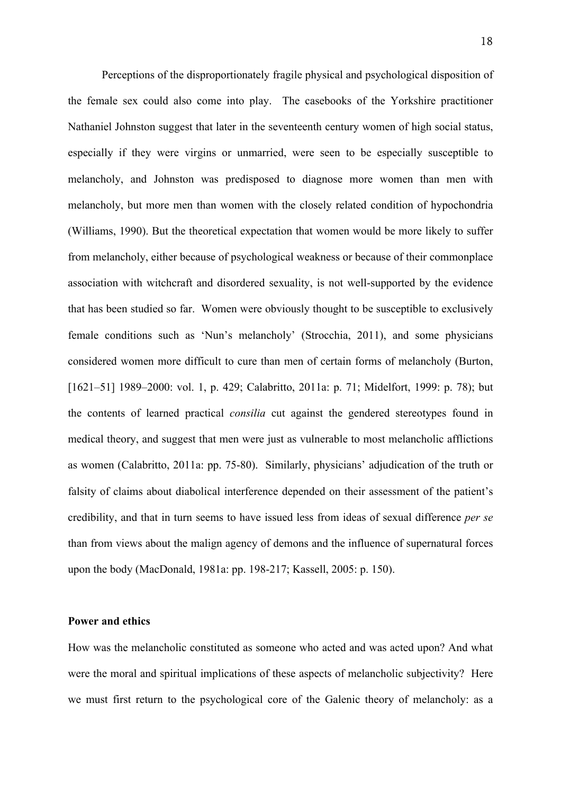Perceptions of the disproportionately fragile physical and psychological disposition of the female sex could also come into play. The casebooks of the Yorkshire practitioner Nathaniel Johnston suggest that later in the seventeenth century women of high social status, especially if they were virgins or unmarried, were seen to be especially susceptible to melancholy, and Johnston was predisposed to diagnose more women than men with melancholy, but more men than women with the closely related condition of hypochondria (Williams, 1990). But the theoretical expectation that women would be more likely to suffer from melancholy, either because of psychological weakness or because of their commonplace association with witchcraft and disordered sexuality, is not well-supported by the evidence that has been studied so far. Women were obviously thought to be susceptible to exclusively female conditions such as 'Nun's melancholy' (Strocchia, 2011), and some physicians considered women more difficult to cure than men of certain forms of melancholy (Burton, [1621–51] 1989–2000: vol. 1, p. 429; Calabritto, 2011a: p. 71; Midelfort, 1999: p. 78); but the contents of learned practical *consilia* cut against the gendered stereotypes found in medical theory, and suggest that men were just as vulnerable to most melancholic afflictions as women (Calabritto, 2011a: pp. 75-80). Similarly, physicians' adjudication of the truth or falsity of claims about diabolical interference depended on their assessment of the patient's credibility, and that in turn seems to have issued less from ideas of sexual difference *per se*  than from views about the malign agency of demons and the influence of supernatural forces upon the body (MacDonald, 1981a: pp. 198-217; Kassell, 2005: p. 150).

### **Power and ethics**

How was the melancholic constituted as someone who acted and was acted upon? And what were the moral and spiritual implications of these aspects of melancholic subjectivity? Here we must first return to the psychological core of the Galenic theory of melancholy: as a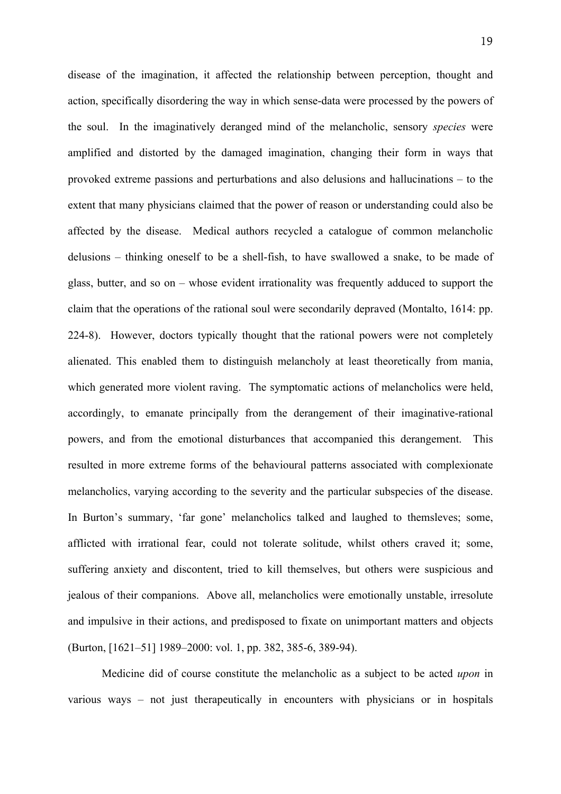disease of the imagination, it affected the relationship between perception, thought and action, specifically disordering the way in which sense-data were processed by the powers of the soul. In the imaginatively deranged mind of the melancholic, sensory *species* were amplified and distorted by the damaged imagination, changing their form in ways that provoked extreme passions and perturbations and also delusions and hallucinations – to the extent that many physicians claimed that the power of reason or understanding could also be affected by the disease. Medical authors recycled a catalogue of common melancholic delusions – thinking oneself to be a shell-fish, to have swallowed a snake, to be made of glass, butter, and so on – whose evident irrationality was frequently adduced to support the claim that the operations of the rational soul were secondarily depraved (Montalto, 1614: pp. 224-8). However, doctors typically thought that the rational powers were not completely alienated. This enabled them to distinguish melancholy at least theoretically from mania, which generated more violent raving. The symptomatic actions of melancholics were held, accordingly, to emanate principally from the derangement of their imaginative-rational powers, and from the emotional disturbances that accompanied this derangement. This resulted in more extreme forms of the behavioural patterns associated with complexionate melancholics, varying according to the severity and the particular subspecies of the disease. In Burton's summary, 'far gone' melancholics talked and laughed to themsleves; some, afflicted with irrational fear, could not tolerate solitude, whilst others craved it; some, suffering anxiety and discontent, tried to kill themselves, but others were suspicious and jealous of their companions. Above all, melancholics were emotionally unstable, irresolute and impulsive in their actions, and predisposed to fixate on unimportant matters and objects (Burton, [1621–51] 1989–2000: vol. 1, pp. 382, 385-6, 389-94).

Medicine did of course constitute the melancholic as a subject to be acted *upon* in various ways – not just therapeutically in encounters with physicians or in hospitals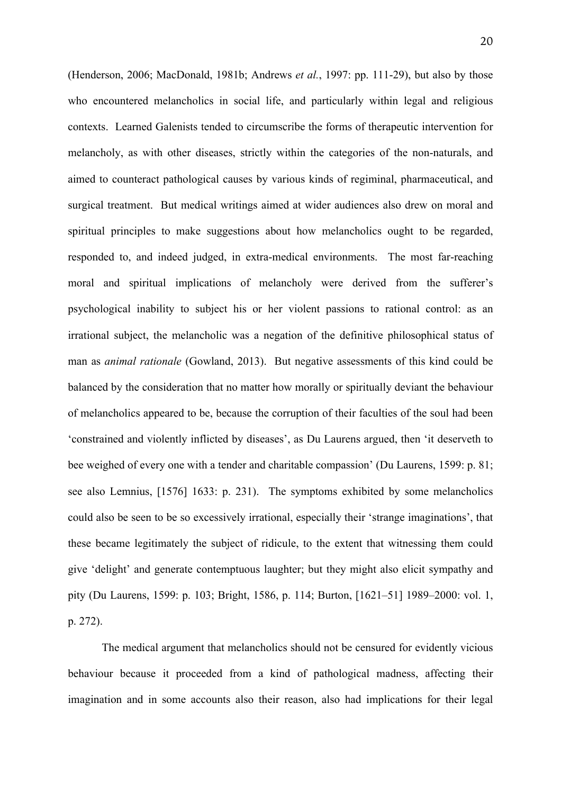(Henderson, 2006; MacDonald, 1981b; Andrews *et al.*, 1997: pp. 111-29), but also by those who encountered melancholics in social life, and particularly within legal and religious contexts. Learned Galenists tended to circumscribe the forms of therapeutic intervention for melancholy, as with other diseases, strictly within the categories of the non-naturals, and aimed to counteract pathological causes by various kinds of regiminal, pharmaceutical, and surgical treatment. But medical writings aimed at wider audiences also drew on moral and spiritual principles to make suggestions about how melancholics ought to be regarded, responded to, and indeed judged, in extra-medical environments. The most far-reaching moral and spiritual implications of melancholy were derived from the sufferer's psychological inability to subject his or her violent passions to rational control: as an irrational subject, the melancholic was a negation of the definitive philosophical status of man as *animal rationale* (Gowland, 2013). But negative assessments of this kind could be balanced by the consideration that no matter how morally or spiritually deviant the behaviour of melancholics appeared to be, because the corruption of their faculties of the soul had been 'constrained and violently inflicted by diseases', as Du Laurens argued, then 'it deserveth to bee weighed of every one with a tender and charitable compassion' (Du Laurens, 1599: p. 81; see also Lemnius, [1576] 1633: p. 231). The symptoms exhibited by some melancholics could also be seen to be so excessively irrational, especially their 'strange imaginations', that these became legitimately the subject of ridicule, to the extent that witnessing them could give 'delight' and generate contemptuous laughter; but they might also elicit sympathy and pity (Du Laurens, 1599: p. 103; Bright, 1586, p. 114; Burton, [1621–51] 1989–2000: vol. 1, p. 272).

The medical argument that melancholics should not be censured for evidently vicious behaviour because it proceeded from a kind of pathological madness, affecting their imagination and in some accounts also their reason, also had implications for their legal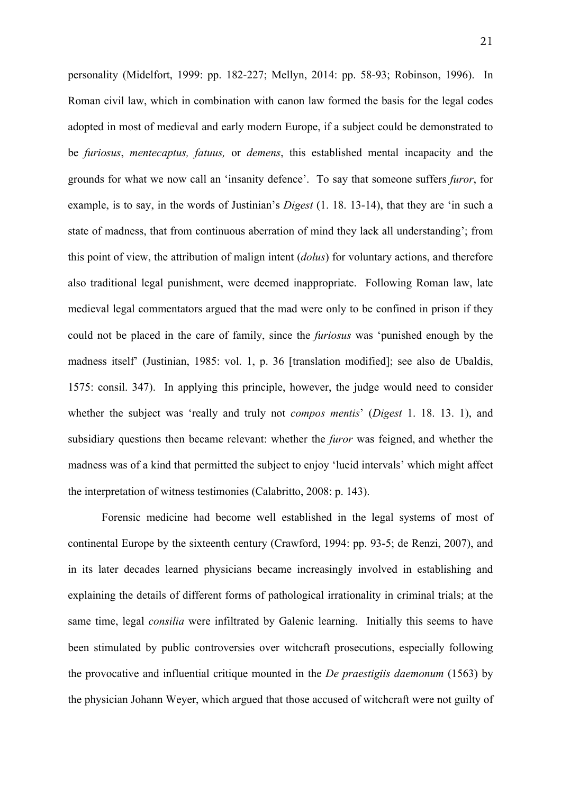personality (Midelfort, 1999: pp. 182-227; Mellyn, 2014: pp. 58-93; Robinson, 1996). In Roman civil law, which in combination with canon law formed the basis for the legal codes adopted in most of medieval and early modern Europe, if a subject could be demonstrated to be *furiosus*, *mentecaptus, fatuus,* or *demens*, this established mental incapacity and the grounds for what we now call an 'insanity defence'. To say that someone suffers *furor*, for example, is to say, in the words of Justinian's *Digest* (1. 18. 13-14), that they are 'in such a state of madness, that from continuous aberration of mind they lack all understanding'; from this point of view, the attribution of malign intent (*dolus*) for voluntary actions, and therefore also traditional legal punishment, were deemed inappropriate. Following Roman law, late medieval legal commentators argued that the mad were only to be confined in prison if they could not be placed in the care of family, since the *furiosus* was 'punished enough by the madness itself' (Justinian, 1985: vol. 1, p. 36 [translation modified]; see also de Ubaldis, 1575: consil. 347). In applying this principle, however, the judge would need to consider whether the subject was 'really and truly not *compos mentis*' (*Digest* 1. 18. 13. 1), and subsidiary questions then became relevant: whether the *furor* was feigned, and whether the madness was of a kind that permitted the subject to enjoy 'lucid intervals' which might affect the interpretation of witness testimonies (Calabritto, 2008: p. 143).

Forensic medicine had become well established in the legal systems of most of continental Europe by the sixteenth century (Crawford, 1994: pp. 93-5; de Renzi, 2007), and in its later decades learned physicians became increasingly involved in establishing and explaining the details of different forms of pathological irrationality in criminal trials; at the same time, legal *consilia* were infiltrated by Galenic learning. Initially this seems to have been stimulated by public controversies over witchcraft prosecutions, especially following the provocative and influential critique mounted in the *De praestigiis daemonum* (1563) by the physician Johann Weyer, which argued that those accused of witchcraft were not guilty of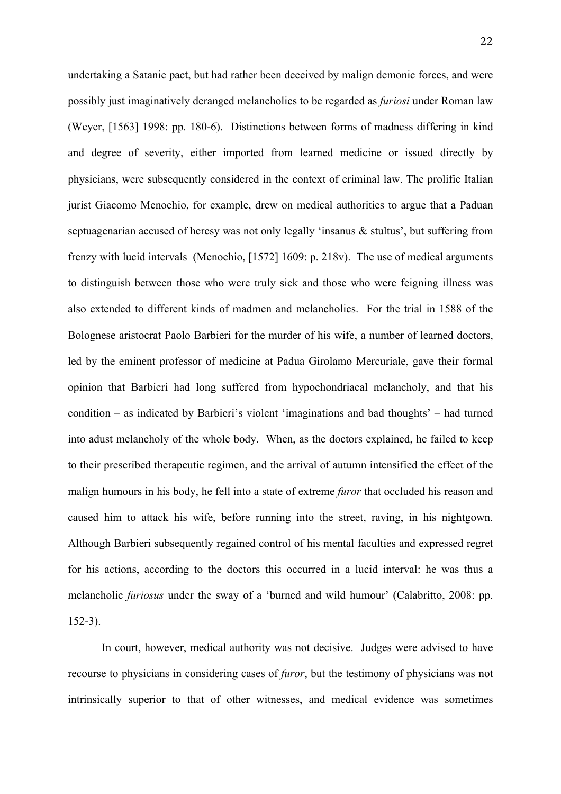undertaking a Satanic pact, but had rather been deceived by malign demonic forces, and were possibly just imaginatively deranged melancholics to be regarded as *furiosi* under Roman law (Weyer, [1563] 1998: pp. 180-6). Distinctions between forms of madness differing in kind and degree of severity, either imported from learned medicine or issued directly by physicians, were subsequently considered in the context of criminal law. The prolific Italian jurist Giacomo Menochio, for example, drew on medical authorities to argue that a Paduan septuagenarian accused of heresy was not only legally 'insanus & stultus', but suffering from frenzy with lucid intervals (Menochio, [1572] 1609: p. 218v). The use of medical arguments to distinguish between those who were truly sick and those who were feigning illness was also extended to different kinds of madmen and melancholics. For the trial in 1588 of the Bolognese aristocrat Paolo Barbieri for the murder of his wife, a number of learned doctors, led by the eminent professor of medicine at Padua Girolamo Mercuriale, gave their formal opinion that Barbieri had long suffered from hypochondriacal melancholy, and that his condition – as indicated by Barbieri's violent 'imaginations and bad thoughts' – had turned into adust melancholy of the whole body. When, as the doctors explained, he failed to keep to their prescribed therapeutic regimen, and the arrival of autumn intensified the effect of the malign humours in his body, he fell into a state of extreme *furor* that occluded his reason and caused him to attack his wife, before running into the street, raving, in his nightgown. Although Barbieri subsequently regained control of his mental faculties and expressed regret for his actions, according to the doctors this occurred in a lucid interval: he was thus a melancholic *furiosus* under the sway of a 'burned and wild humour' (Calabritto, 2008: pp. 152-3).

In court, however, medical authority was not decisive. Judges were advised to have recourse to physicians in considering cases of *furor*, but the testimony of physicians was not intrinsically superior to that of other witnesses, and medical evidence was sometimes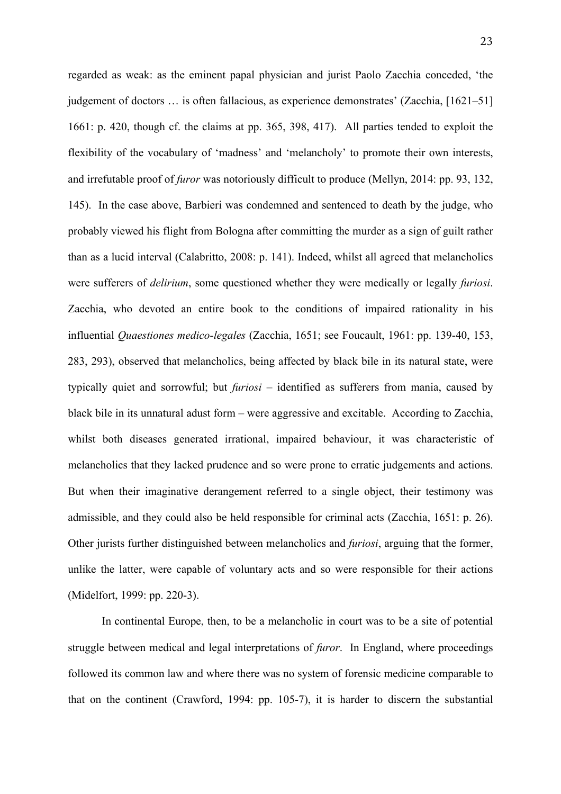regarded as weak: as the eminent papal physician and jurist Paolo Zacchia conceded, 'the judgement of doctors … is often fallacious, as experience demonstrates' (Zacchia, [1621–51] 1661: p. 420, though cf. the claims at pp. 365, 398, 417). All parties tended to exploit the flexibility of the vocabulary of 'madness' and 'melancholy' to promote their own interests, and irrefutable proof of *furor* was notoriously difficult to produce (Mellyn, 2014: pp. 93, 132, 145). In the case above, Barbieri was condemned and sentenced to death by the judge, who probably viewed his flight from Bologna after committing the murder as a sign of guilt rather than as a lucid interval (Calabritto, 2008: p. 141). Indeed, whilst all agreed that melancholics were sufferers of *delirium*, some questioned whether they were medically or legally *furiosi*. Zacchia, who devoted an entire book to the conditions of impaired rationality in his influential *Quaestiones medico-legales* (Zacchia, 1651; see Foucault, 1961: pp. 139-40, 153, 283, 293), observed that melancholics, being affected by black bile in its natural state, were typically quiet and sorrowful; but *furiosi* – identified as sufferers from mania, caused by black bile in its unnatural adust form – were aggressive and excitable. According to Zacchia, whilst both diseases generated irrational, impaired behaviour, it was characteristic of melancholics that they lacked prudence and so were prone to erratic judgements and actions. But when their imaginative derangement referred to a single object, their testimony was admissible, and they could also be held responsible for criminal acts (Zacchia, 1651: p. 26). Other jurists further distinguished between melancholics and *furiosi*, arguing that the former, unlike the latter, were capable of voluntary acts and so were responsible for their actions (Midelfort, 1999: pp. 220-3).

In continental Europe, then, to be a melancholic in court was to be a site of potential struggle between medical and legal interpretations of *furor*. In England, where proceedings followed its common law and where there was no system of forensic medicine comparable to that on the continent (Crawford, 1994: pp. 105-7), it is harder to discern the substantial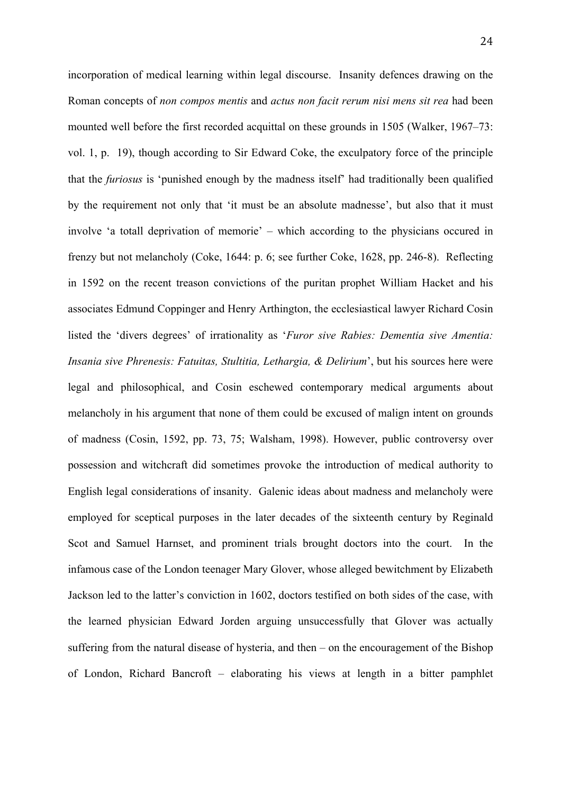incorporation of medical learning within legal discourse. Insanity defences drawing on the Roman concepts of *non compos mentis* and *actus non facit rerum nisi mens sit rea* had been mounted well before the first recorded acquittal on these grounds in 1505 (Walker, 1967–73: vol. 1, p. 19), though according to Sir Edward Coke, the exculpatory force of the principle that the *furiosus* is 'punished enough by the madness itself' had traditionally been qualified by the requirement not only that 'it must be an absolute madnesse', but also that it must involve 'a totall deprivation of memorie' – which according to the physicians occured in frenzy but not melancholy (Coke, 1644: p. 6; see further Coke, 1628, pp. 246-8). Reflecting in 1592 on the recent treason convictions of the puritan prophet William Hacket and his associates Edmund Coppinger and Henry Arthington, the ecclesiastical lawyer Richard Cosin listed the 'divers degrees' of irrationality as '*Furor sive Rabies: Dementia sive Amentia: Insania sive Phrenesis: Fatuitas, Stultitia, Lethargia, & Delirium*', but his sources here were legal and philosophical, and Cosin eschewed contemporary medical arguments about melancholy in his argument that none of them could be excused of malign intent on grounds of madness (Cosin, 1592, pp. 73, 75; Walsham, 1998). However, public controversy over possession and witchcraft did sometimes provoke the introduction of medical authority to English legal considerations of insanity. Galenic ideas about madness and melancholy were employed for sceptical purposes in the later decades of the sixteenth century by Reginald Scot and Samuel Harnset, and prominent trials brought doctors into the court. In the infamous case of the London teenager Mary Glover, whose alleged bewitchment by Elizabeth Jackson led to the latter's conviction in 1602, doctors testified on both sides of the case, with the learned physician Edward Jorden arguing unsuccessfully that Glover was actually suffering from the natural disease of hysteria, and then – on the encouragement of the Bishop of London, Richard Bancroft – elaborating his views at length in a bitter pamphlet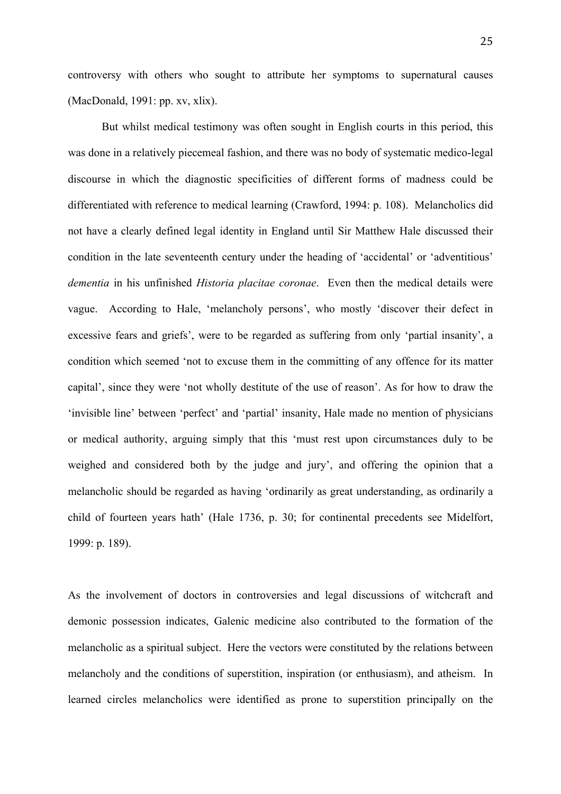controversy with others who sought to attribute her symptoms to supernatural causes (MacDonald, 1991: pp. xv, xlix).

But whilst medical testimony was often sought in English courts in this period, this was done in a relatively piecemeal fashion, and there was no body of systematic medico-legal discourse in which the diagnostic specificities of different forms of madness could be differentiated with reference to medical learning (Crawford, 1994: p. 108). Melancholics did not have a clearly defined legal identity in England until Sir Matthew Hale discussed their condition in the late seventeenth century under the heading of 'accidental' or 'adventitious' *dementia* in his unfinished *Historia placitae coronae*. Even then the medical details were vague. According to Hale, 'melancholy persons', who mostly 'discover their defect in excessive fears and griefs', were to be regarded as suffering from only 'partial insanity', a condition which seemed 'not to excuse them in the committing of any offence for its matter capital', since they were 'not wholly destitute of the use of reason'. As for how to draw the 'invisible line' between 'perfect' and 'partial' insanity, Hale made no mention of physicians or medical authority, arguing simply that this 'must rest upon circumstances duly to be weighed and considered both by the judge and jury', and offering the opinion that a melancholic should be regarded as having 'ordinarily as great understanding, as ordinarily a child of fourteen years hath' (Hale 1736, p. 30; for continental precedents see Midelfort, 1999: p. 189).

As the involvement of doctors in controversies and legal discussions of witchcraft and demonic possession indicates, Galenic medicine also contributed to the formation of the melancholic as a spiritual subject. Here the vectors were constituted by the relations between melancholy and the conditions of superstition, inspiration (or enthusiasm), and atheism. In learned circles melancholics were identified as prone to superstition principally on the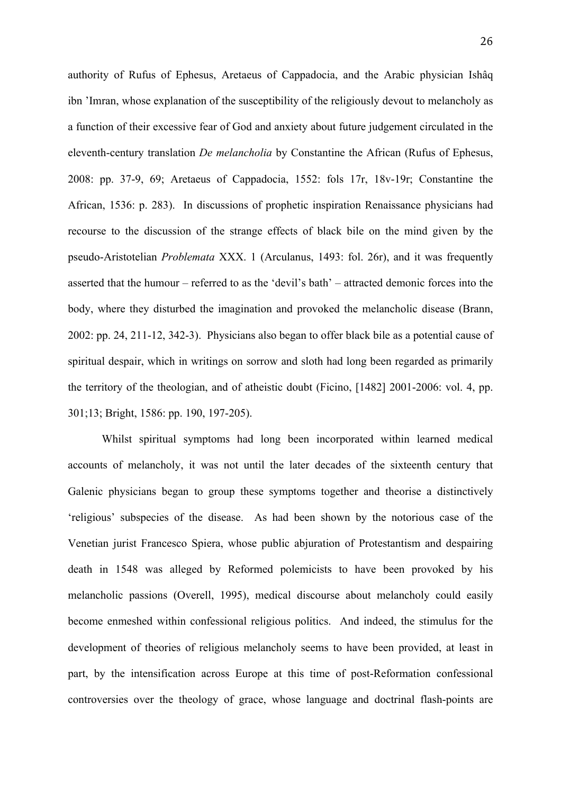authority of Rufus of Ephesus, Aretaeus of Cappadocia, and the Arabic physician Ishâq ibn 'Imran, whose explanation of the susceptibility of the religiously devout to melancholy as a function of their excessive fear of God and anxiety about future judgement circulated in the eleventh-century translation *De melancholia* by Constantine the African (Rufus of Ephesus, 2008: pp. 37-9, 69; Aretaeus of Cappadocia, 1552: fols 17r, 18v-19r; Constantine the African, 1536: p. 283). In discussions of prophetic inspiration Renaissance physicians had recourse to the discussion of the strange effects of black bile on the mind given by the pseudo-Aristotelian *Problemata* XXX. 1 (Arculanus, 1493: fol. 26r), and it was frequently asserted that the humour – referred to as the 'devil's bath' – attracted demonic forces into the body, where they disturbed the imagination and provoked the melancholic disease (Brann, 2002: pp. 24, 211-12, 342-3). Physicians also began to offer black bile as a potential cause of spiritual despair, which in writings on sorrow and sloth had long been regarded as primarily the territory of the theologian, and of atheistic doubt (Ficino, [1482] 2001-2006: vol. 4, pp. 301;13; Bright, 1586: pp. 190, 197-205).

Whilst spiritual symptoms had long been incorporated within learned medical accounts of melancholy, it was not until the later decades of the sixteenth century that Galenic physicians began to group these symptoms together and theorise a distinctively 'religious' subspecies of the disease. As had been shown by the notorious case of the Venetian jurist Francesco Spiera, whose public abjuration of Protestantism and despairing death in 1548 was alleged by Reformed polemicists to have been provoked by his melancholic passions (Overell, 1995), medical discourse about melancholy could easily become enmeshed within confessional religious politics. And indeed, the stimulus for the development of theories of religious melancholy seems to have been provided, at least in part, by the intensification across Europe at this time of post-Reformation confessional controversies over the theology of grace, whose language and doctrinal flash-points are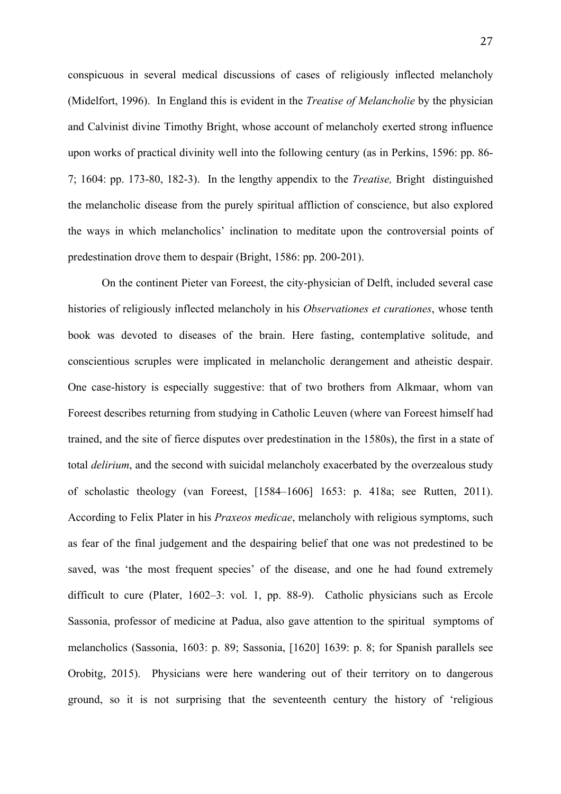conspicuous in several medical discussions of cases of religiously inflected melancholy (Midelfort, 1996). In England this is evident in the *Treatise of Melancholie* by the physician and Calvinist divine Timothy Bright, whose account of melancholy exerted strong influence upon works of practical divinity well into the following century (as in Perkins, 1596: pp. 86- 7; 1604: pp. 173-80, 182-3). In the lengthy appendix to the *Treatise,* Bright distinguished the melancholic disease from the purely spiritual affliction of conscience, but also explored the ways in which melancholics' inclination to meditate upon the controversial points of predestination drove them to despair (Bright, 1586: pp. 200-201).

On the continent Pieter van Foreest, the city-physician of Delft, included several case histories of religiously inflected melancholy in his *Observationes et curationes*, whose tenth book was devoted to diseases of the brain. Here fasting, contemplative solitude, and conscientious scruples were implicated in melancholic derangement and atheistic despair. One case-history is especially suggestive: that of two brothers from Alkmaar, whom van Foreest describes returning from studying in Catholic Leuven (where van Foreest himself had trained, and the site of fierce disputes over predestination in the 1580s), the first in a state of total *delirium*, and the second with suicidal melancholy exacerbated by the overzealous study of scholastic theology (van Foreest, [1584–1606] 1653: p. 418a; see Rutten, 2011). According to Felix Plater in his *Praxeos medicae*, melancholy with religious symptoms, such as fear of the final judgement and the despairing belief that one was not predestined to be saved, was 'the most frequent species' of the disease, and one he had found extremely difficult to cure (Plater, 1602–3: vol. 1, pp. 88-9). Catholic physicians such as Ercole Sassonia, professor of medicine at Padua, also gave attention to the spiritual symptoms of melancholics (Sassonia, 1603: p. 89; Sassonia, [1620] 1639: p. 8; for Spanish parallels see Orobitg, 2015). Physicians were here wandering out of their territory on to dangerous ground, so it is not surprising that the seventeenth century the history of 'religious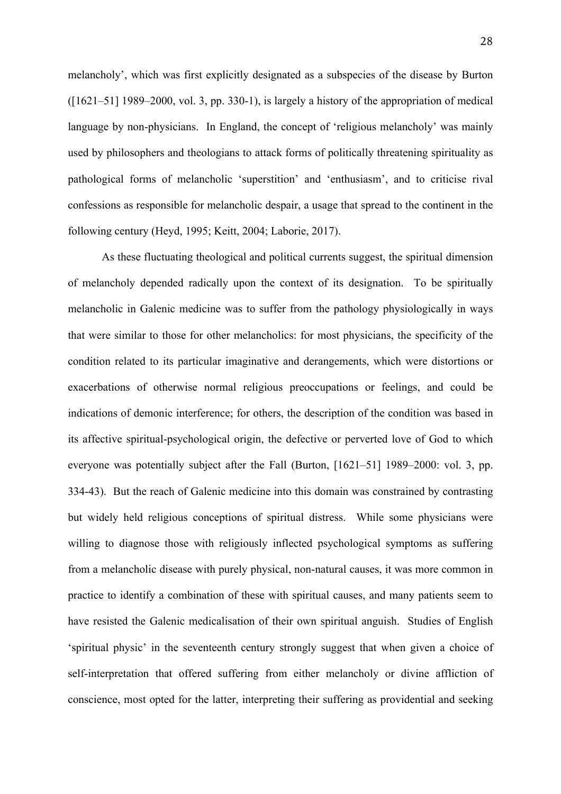melancholy', which was first explicitly designated as a subspecies of the disease by Burton  $(1621-51)$  1989–2000, vol. 3, pp. 330-1), is largely a history of the appropriation of medical language by non-physicians. In England, the concept of 'religious melancholy' was mainly used by philosophers and theologians to attack forms of politically threatening spirituality as pathological forms of melancholic 'superstition' and 'enthusiasm', and to criticise rival confessions as responsible for melancholic despair, a usage that spread to the continent in the following century (Heyd, 1995; Keitt, 2004; Laborie, 2017).

As these fluctuating theological and political currents suggest, the spiritual dimension of melancholy depended radically upon the context of its designation. To be spiritually melancholic in Galenic medicine was to suffer from the pathology physiologically in ways that were similar to those for other melancholics: for most physicians, the specificity of the condition related to its particular imaginative and derangements, which were distortions or exacerbations of otherwise normal religious preoccupations or feelings, and could be indications of demonic interference; for others, the description of the condition was based in its affective spiritual-psychological origin, the defective or perverted love of God to which everyone was potentially subject after the Fall (Burton, [1621–51] 1989–2000: vol. 3, pp. 334-43). But the reach of Galenic medicine into this domain was constrained by contrasting but widely held religious conceptions of spiritual distress. While some physicians were willing to diagnose those with religiously inflected psychological symptoms as suffering from a melancholic disease with purely physical, non-natural causes, it was more common in practice to identify a combination of these with spiritual causes, and many patients seem to have resisted the Galenic medicalisation of their own spiritual anguish. Studies of English 'spiritual physic' in the seventeenth century strongly suggest that when given a choice of self-interpretation that offered suffering from either melancholy or divine affliction of conscience, most opted for the latter, interpreting their suffering as providential and seeking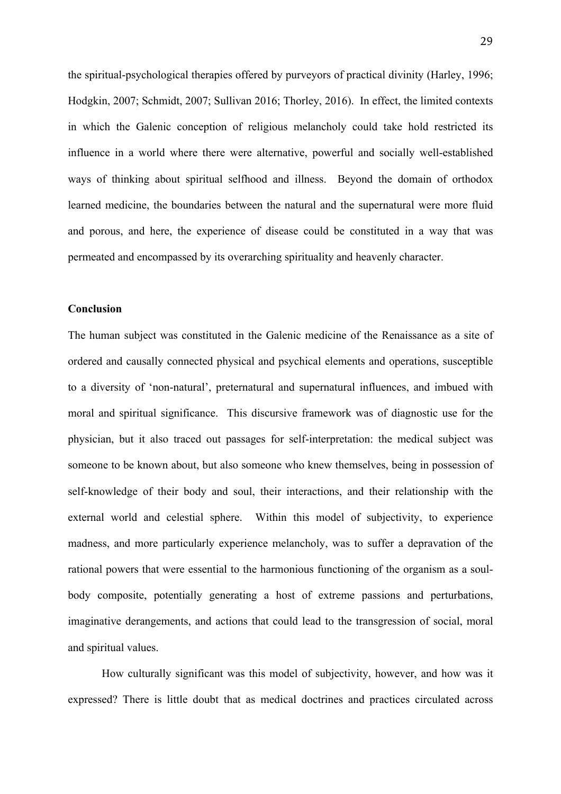the spiritual-psychological therapies offered by purveyors of practical divinity (Harley, 1996; Hodgkin, 2007; Schmidt, 2007; Sullivan 2016; Thorley, 2016). In effect, the limited contexts in which the Galenic conception of religious melancholy could take hold restricted its influence in a world where there were alternative, powerful and socially well-established ways of thinking about spiritual selfhood and illness. Beyond the domain of orthodox learned medicine, the boundaries between the natural and the supernatural were more fluid and porous, and here, the experience of disease could be constituted in a way that was permeated and encompassed by its overarching spirituality and heavenly character.

# **Conclusion**

The human subject was constituted in the Galenic medicine of the Renaissance as a site of ordered and causally connected physical and psychical elements and operations, susceptible to a diversity of 'non-natural', preternatural and supernatural influences, and imbued with moral and spiritual significance. This discursive framework was of diagnostic use for the physician, but it also traced out passages for self-interpretation: the medical subject was someone to be known about, but also someone who knew themselves, being in possession of self-knowledge of their body and soul, their interactions, and their relationship with the external world and celestial sphere. Within this model of subjectivity, to experience madness, and more particularly experience melancholy, was to suffer a depravation of the rational powers that were essential to the harmonious functioning of the organism as a soulbody composite, potentially generating a host of extreme passions and perturbations, imaginative derangements, and actions that could lead to the transgression of social, moral and spiritual values.

How culturally significant was this model of subjectivity, however, and how was it expressed? There is little doubt that as medical doctrines and practices circulated across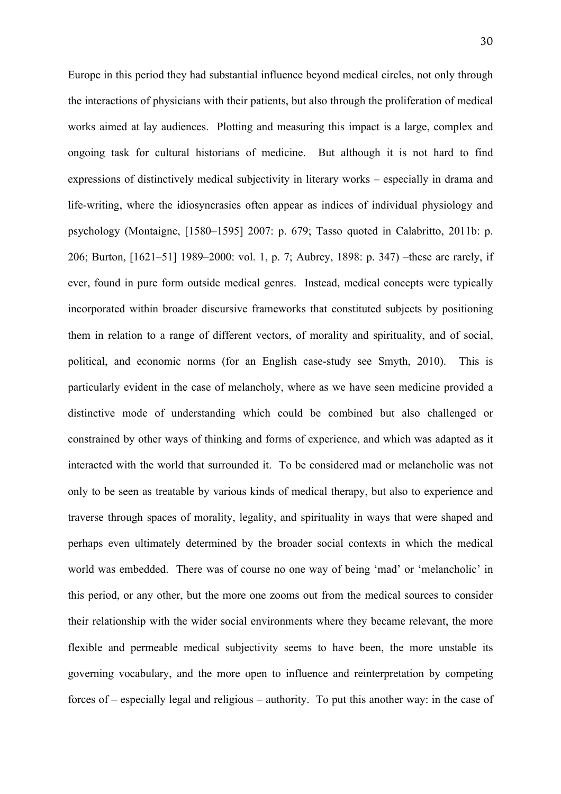Europe in this period they had substantial influence beyond medical circles, not only through the interactions of physicians with their patients, but also through the proliferation of medical works aimed at lay audiences. Plotting and measuring this impact is a large, complex and ongoing task for cultural historians of medicine. But although it is not hard to find expressions of distinctively medical subjectivity in literary works – especially in drama and life-writing, where the idiosyncrasies often appear as indices of individual physiology and psychology (Montaigne, [1580–1595] 2007: p. 679; Tasso quoted in Calabritto, 2011b: p. 206; Burton, [1621–51] 1989–2000: vol. 1, p. 7; Aubrey, 1898: p. 347) –these are rarely, if ever, found in pure form outside medical genres. Instead, medical concepts were typically incorporated within broader discursive frameworks that constituted subjects by positioning them in relation to a range of different vectors, of morality and spirituality, and of social, political, and economic norms (for an English case-study see Smyth, 2010). This is particularly evident in the case of melancholy, where as we have seen medicine provided a distinctive mode of understanding which could be combined but also challenged or constrained by other ways of thinking and forms of experience, and which was adapted as it interacted with the world that surrounded it. To be considered mad or melancholic was not only to be seen as treatable by various kinds of medical therapy, but also to experience and traverse through spaces of morality, legality, and spirituality in ways that were shaped and perhaps even ultimately determined by the broader social contexts in which the medical world was embedded. There was of course no one way of being 'mad' or 'melancholic' in this period, or any other, but the more one zooms out from the medical sources to consider their relationship with the wider social environments where they became relevant, the more flexible and permeable medical subjectivity seems to have been, the more unstable its governing vocabulary, and the more open to influence and reinterpretation by competing forces of – especially legal and religious – authority. To put this another way: in the case of